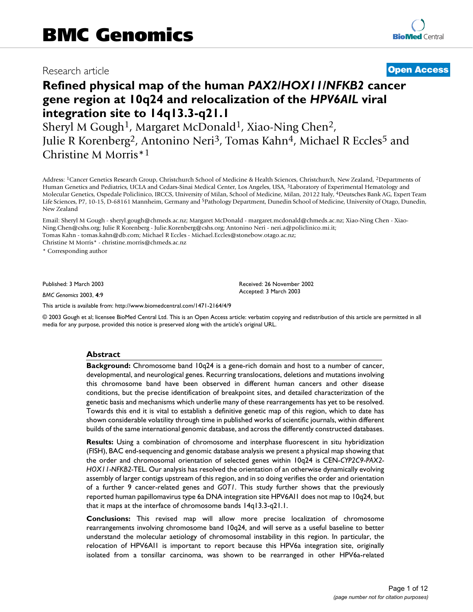# Research article **[Open Access](http://www.biomedcentral.com/info/about/charter/)**

# **Refined physical map of the human** *PAX2/HOX11/NFKB2* **cancer gene region at 10q24 and relocalization of the** *HPV6AIL* **viral integration site to 14q13.3-q21.1**

Sheryl M Gough<sup>1</sup>, Margaret McDonald<sup>1</sup>, Xiao-Ning Chen<sup>2</sup>, Julie R Korenberg2, Antonino Neri3, Tomas Kahn4, Michael R Eccles5 and Christine M Morris\*1

Address: 1Cancer Genetics Research Group, Christchurch School of Medicine & Health Sciences, Christchurch, New Zealand, 2Departments of Human Genetics and Pediatrics, UCLA and Cedars-Sinai Medical Center, Los Angeles, USA, 3Laboratory of Experimental Hematology and Molecular Genetics, Ospedale Policlinico, IRCCS, University of Milan, School of Medicine, Milan, 20122 Italy, 4Deutsches Bank AG, Expert Team Life Sciences, P7, 10-15, D-68161 Mannheim, Germany and 5Pathology Department, Dunedin School of Medicine, University of Otago, Dunedin, New Zealand

Email: Sheryl M Gough - sheryl.gough@chmeds.ac.nz; Margaret McDonald - margaret.mcdonald@chmeds.ac.nz; Xiao-Ning Chen - Xiao-Ning.Chen@cshs.org; Julie R Korenberg - Julie.Korenberg@cshs.org; Antonino Neri - neri.a@policlinico.mi.it; Tomas Kahn - tomas.kahn@db.com; Michael R Eccles - Michael.Eccles@stonebow.otago.ac.nz; Christine M Morris\* - christine.morris@chmeds.ac.nz

\* Corresponding author

Published: 3 March 2003

*BMC Genomics* 2003, **4**:9

[This article is available from: http://www.biomedcentral.com/1471-2164/4/9](http://www.biomedcentral.com/1471-2164/4/9)

© 2003 Gough et al; licensee BioMed Central Ltd. This is an Open Access article: verbatim copying and redistribution of this article are permitted in all media for any purpose, provided this notice is preserved along with the article's original URL.

Received: 26 November 2002 Accepted: 3 March 2003

#### **Abstract**

**Background:** Chromosome band 10q24 is a gene-rich domain and host to a number of cancer, developmental, and neurological genes. Recurring translocations, deletions and mutations involving this chromosome band have been observed in different human cancers and other disease conditions, but the precise identification of breakpoint sites, and detailed characterization of the genetic basis and mechanisms which underlie many of these rearrangements has yet to be resolved. Towards this end it is vital to establish a definitive genetic map of this region, which to date has shown considerable volatility through time in published works of scientific journals, within different builds of the same international genomic database, and across the differently constructed databases.

**Results:** Using a combination of chromosome and interphase fluorescent in situ hybridization (FISH), BAC end-sequencing and genomic database analysis we present a physical map showing that the order and chromosomal orientation of selected genes within 10q24 is CEN-*CYP2C9*-*PAX2- HOX11-NFKB2-*TEL. Our analysis has resolved the orientation of an otherwise dynamically evolving assembly of larger contigs upstream of this region, and in so doing verifies the order and orientation of a further 9 cancer-related genes and *GOT1*. This study further shows that the previously reported human papillomavirus type 6a DNA integration site HPV6AI1 does not map to 10q24, but that it maps at the interface of chromosome bands 14q13.3-q21.1.

**Conclusions:** This revised map will allow more precise localization of chromosome rearrangements involving chromosome band 10q24, and will serve as a useful baseline to better understand the molecular aetiology of chromosomal instability in this region. In particular, the relocation of HPV6AI1 is important to report because this HPV6a integration site, originally isolated from a tonsillar carcinoma, was shown to be rearranged in other HPV6a-related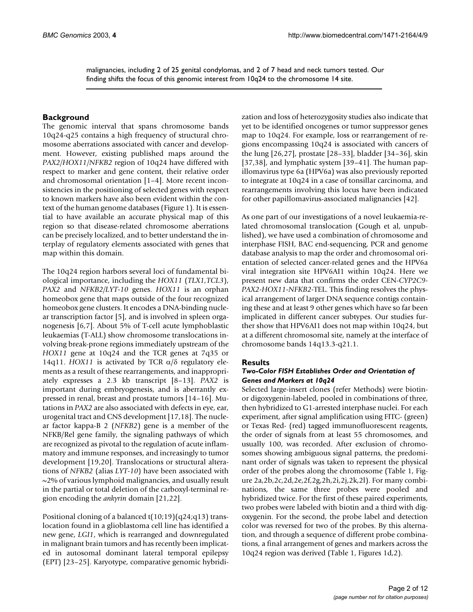malignancies, including 2 of 25 genital condylomas, and 2 of 7 head and neck tumors tested. Our finding shifts the focus of this genomic interest from 10q24 to the chromosome 14 site.

# **Background**

The genomic interval that spans chromosome bands 10q24-q25 contains a high frequency of structural chromosome aberrations associated with cancer and development. However, existing published maps around the *PAX2/HOX11/NFKB2* region of 10q24 have differed with respect to marker and gene content, their relative order and chromosomal orientation [1–4]. More recent inconsistencies in the positioning of selected genes with respect to known markers have also been evident within the context of the human genome databases (Figure [1](#page-2-0)). It is essential to have available an accurate physical map of this region so that disease-related chromosome aberrations can be precisely localized, and to better understand the interplay of regulatory elements associated with genes that map within this domain.

The 10q24 region harbors several loci of fundamental biological importance, including the *HOX11* (*TLX1,TCL3*), *PAX2* and *NFKB2/LYT-10* genes. *HOX11* is an orphan homeobox gene that maps outside of the four recognized homeobox gene clusters. It encodes a DNA-binding nuclear transcription factor [5], and is involved in spleen organogenesis [6,7]. About 5% of T-cell acute lymphoblastic leukaemias (T-ALL) show chromosome translocations involving break-prone regions immediately upstream of the *HOX11* gene at 10q24 and the TCR genes at 7q35 or 14q11. *HOX11* is activated by TCR  $\alpha/\delta$  regulatory elements as a result of these rearrangements, and inappropriately expresses a 2.3 kb transcript [8–13]. *PAX2* is important during embryogenesis, and is aberrantly expressed in renal, breast and prostate tumors [14–16]. Mutations in *PAX2* are also associated with defects in eye, ear, urogenital tract and CNS development [17,18]. The nuclear factor kappa-B 2 (*NFKB2*) gene is a member of the NFKB/Rel gene family, the signaling pathways of which are recognized as pivotal to the regulation of acute inflammatory and immune responses, and increasingly to tumor development [19,20]. Translocations or structural alterations of *NFKB2* (alias *LYT-10*) have been associated with ~2% of various lymphoid malignancies, and usually result in the partial or total deletion of the carboxyl-terminal region encoding the *ankyrin* domain [21,22].

Positional cloning of a balanced t(10;19)(q24;q13) translocation found in a glioblastoma cell line has identified a new gene, *LGI1*, which is rearranged and downregulated in malignant brain tumors and has recently been implicated in autosomal dominant lateral temporal epilepsy (EPT) [23–25]. Karyotype, comparative genomic hybridization and loss of heterozygosity studies also indicate that yet to be identified oncogenes or tumor suppressor genes map to 10q24. For example, loss or rearrangement of regions encompassing 10q24 is associated with cancers of the lung [26,27], prostate [28–33], bladder [34–36], skin [37,38], and lymphatic system [39–41]. The human papillomavirus type 6a (HPV6a) was also previously reported to integrate at 10q24 in a case of tonsillar carcinoma, and rearrangements involving this locus have been indicated for other papillomavirus-associated malignancies [42].

As one part of our investigations of a novel leukaemia-related chromosomal translocation (Gough et al, unpublished), we have used a combination of chromosome and interphase FISH, BAC end-sequencing, PCR and genome database analysis to map the order and chromosomal orientation of selected cancer-related genes and the HPV6a viral integration site HPV6AI1 within 10q24. Here we present new data that confirms the order CEN-*CYP2C9- PAX2-HOX11-NFKB2-*TEL. This finding resolves the physical arrangement of larger DNA sequence contigs containing these and at least 9 other genes which have so far been implicated in different cancer subtypes. Our studies further show that HPV6AI1 does not map within 10q24, but at a different chromosomal site, namely at the interface of chromosome bands 14q13.3-q21.1.

### **Results**

### *Two-Color FISH Establishes Order and Orientation of Genes and Markers at 10q24*

Selected large-insert clones (refer Methods) were biotinor digoxygenin-labeled, pooled in combinations of three, then hybridized to G1-arrested interphase nuclei. For each experiment, after signal amplification using FITC- (green) or Texas Red- (red) tagged immunofluorescent reagents, the order of signals from at least 55 chromosomes, and usually 100, was recorded. After exclusion of chromosomes showing ambiguous signal patterns, the predominant order of signals was taken to represent the physical order of the probes along the chromosome (Table [1](#page-4-0), Figure 2a,2b,2c,2d,2e,2f,2g,2h,2i,2j,2k,2l). For many combinations, the same three probes were pooled and hybridized twice. For the first of these paired experiments, two probes were labeled with biotin and a third with digoxygenin. For the second, the probe label and detection color was reversed for two of the probes. By this alternation, and through a sequence of different probe combinations, a final arrangement of genes and markers across the 10q24 region was derived (Table [1,](#page-4-0) Figures [1d](#page-2-0),2).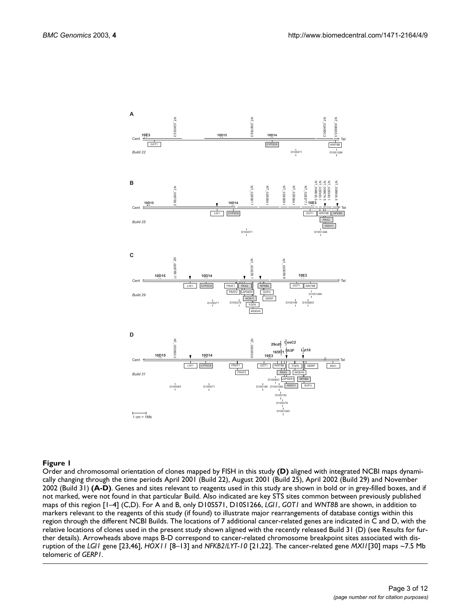<span id="page-2-0"></span>

#### **Figure 1**

Order and chromosomal orientation of clones mapped by FISH in this study **(D)** aligned with integrated NCBI maps dynamically changing through the time periods April 2001 (Build 22), August 2001 (Build 25), April 2002 (Build 29) and November 2002 (Build 31) **(A-D)**. Genes and sites relevant to reagents used in this study are shown in bold or in grey-filled boxes, and if not marked, were not found in that particular Build. Also indicated are key STS sites common between previously published maps of this region [1–4] (C,D). For A and B, only D10S571, D10S1266, *LGI1*, *GOT1* and *WNT8B* are shown, in addition to markers relevant to the reagents of this study (if found) to illustrate major rearrangements of database contigs within this region through the different NCBI Builds. The locations of 7 additional cancer-related genes are indicated in C and D, with the relative locations of clones used in the present study shown aligned with the recently released Build 31 (D) (see Results for further details). Arrowheads above maps B-D correspond to cancer-related chromosome breakpoint sites associated with disruption of the *LGI1* gene [23,46], *HOX11* [8–13] and *NFKB2/LYT-10* [21,22]. The cancer-related gene *MXI1*[30] maps ~7.5 Mb telomeric of *GERP1*.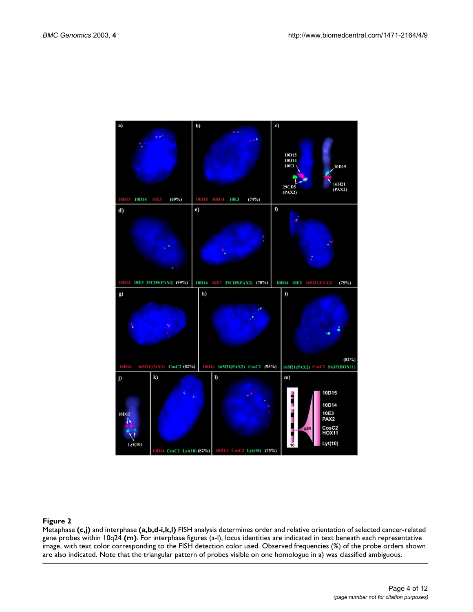

#### **Figure 2**

Metaphase **(c,j)** and interphase **(a,b,d-i,k,l)** FISH analysis determines order and relative orientation of selected cancer-related gene probes within 10q24 **(m)**. For interphase figures (a-l), locus identities are indicated in text beneath each representative image, with text color corresponding to the FISH detection color used. Observed frequencies (%) of the probe orders shown are also indicated. Note that the triangular pattern of probes visible on one homologue in a) was classified ambiguous.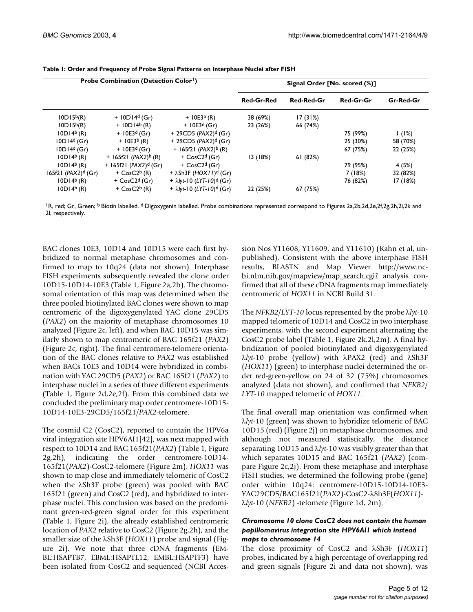| Probe Combination (Detection Color <sup>1</sup> ) |                                      |                                               | Signal Order [No. scored (%)] |            |           |           |
|---------------------------------------------------|--------------------------------------|-----------------------------------------------|-------------------------------|------------|-----------|-----------|
|                                                   |                                      |                                               | <b>Red-Gr-Red</b>             | Red-Red-Gr | Red-Gr-Gr | Gr-Red-Gr |
| 10D15 <sup>b</sup> (R)                            | $+ 10D14d (Gr)$                      | $+ 10E3^{b} (R)$                              | 38 (69%)                      | 17(31%)    |           |           |
| 10D15 <sup>b</sup> (R)                            | $+$ 10D14 <sup>b</sup> (R)           | $+ 10E3^{d}$ (Gr)                             | 23 (26%)                      | 66 (74%)   |           |           |
| $10D14b$ (R)                                      | $+ 10E3^{d}$ (Gr)                    | + 29CD5 (PAX2) <sup>d</sup> (Gr)              |                               |            | 75 (99%)  | 1(1%)     |
| IODI4 <sup>d</sup> (Gr)                           | $+ 10E3^{b} (R)$                     | + 29CD5 (PAX2) <sup>d</sup> (Gr)              |                               |            | 25 (30%)  | 58 (70%)  |
| IODI4 <sup>d</sup> (Gr)                           | $+ 10E3^{d}$ (Gr)                    | + 165f21 ( $PAX2$ ) <sup>b</sup> (R)          |                               |            | 67 (75%)  | 22 (25%)  |
| $10D14b$ (R)                                      | + 165f21 ( $PAX2$ ) <sup>b</sup> (R) | $+$ CosC2 <sup>d</sup> (Gr)                   | 13 (18%)                      | 61(82%)    |           |           |
| $10D14b$ (R)                                      | + $165f21$ (PAX2) <sup>d</sup> (Gr)  | + $CosC2d$ (Gr)                               |                               |            | 79 (95%)  | 4 (5%)    |
| 165f21 $(PAX2)^d$ (Gr)                            | + $CosC2b$ (R)                       | + $\lambda$ Sh3F (HOX I I) <sup>d</sup> (Gr)  |                               |            | 7(18%)    | 32 (82%)  |
| $10D14b$ (R)                                      | $+$ CosC2 <sup>d</sup> (Gr)          | + $\lambda$ /yt-10 (LYT-10) <sup>d</sup> (Gr) |                               |            | 76 (82%)  | 17 (18%)  |
| $10D14b$ (R)                                      | $+$ CosC2 <sup>b</sup> (R)           | + $\lambda$ lyt-10 (LYT-10) <sup>d</sup> (Gr) | 22 (25%)                      | 67 (75%)   |           |           |

<span id="page-4-0"></span>**Table 1: Order and Frequency of Probe Signal Patterns on Interphase Nuclei after FISH**

<sup>1</sup>R, red; Gr, Green; <sup>b</sup> Biotin labelled. <sup>d</sup> Digoxygenin labelled. Probe combinations represented correspond to Figures 2a,2b,2d,2e,2f,2g,2h,2i,2k and 2l, respectively.

BAC clones 10E3, 10D14 and 10D15 were each first hybridized to normal metaphase chromosomes and confirmed to map to 10q24 (data not shown). Interphase FISH experiments subsequently revealed the clone order 10D15-10D14-10E3 (Table [1,](#page-4-0) Figure 2a,2b). The chromosomal orientation of this map was determined when the three pooled biotinylated BAC clones were shown to map centromeric of the digoxygenylated YAC clone 29CD5 (*PAX2*) on the majority of metaphase chromosomes 10 analyzed (Figure 2c, left), and when BAC 10D15 was similarly shown to map centromeric of BAC 165f21 (*PAX2*) (Figure 2c, right). The final centromere-telomere orientation of the BAC clones relative to *PAX2* was established when BACs 10E3 and 10D14 were hybridized in combination with YAC 29CD5 (*PAX2*) or BAC 165f21 (*PAX2*) to interphase nuclei in a series of three different experiments (Table [1](#page-4-0), Figure 2d,2e,2f). From this combined data we concluded the preliminary map order centromere-10D15- 10D14-10E3-29CD5/165f21/*PAX2*-telomere.

The cosmid C2 (CosC2), reported to contain the HPV6a viral integration site HPV6AI1[42], was next mapped with respect to 10D14 and BAC 165f21(*PAX2*) (Table [1](#page-4-0), Figure 2g,2h), indicating the order centromere-10D14- 165f21(*PAX2*)-CosC2-telomere (Figure 2m). *HOX11* was shown to map close and immediately telomeric of CosC2 when the λSh3F probe (green) was pooled with BAC 165f21 (green) and CosC2 (red), and hybridized to interphase nuclei. This conclusion was based on the predominant green-red-green signal order for this experiment (Table [1,](#page-4-0) Figure 2i), the already established centromeric location of *PAX2* relative to CosC2 (Figure 2g,2h), and the smaller size of the λSh3F (*HOX11*) probe and signal (Figure 2i). We note that three cDNA fragments (EM-BL:HSAPTB7, EBML:HSAPTL12, EMBL:HSAPTF3) have been isolated from CosC2 and sequenced (NCBI Accession Nos Y11608, Y11609, and Y11610) (Kahn et al, unpublished). Consistent with the above interphase FISH results, BLASTN and Map Viewer [http://www.nc](http://www.ncbi.nlm.nih.gov/mapview/map_search.cgi?)[bi.nlm.nih.gov/mapview/map\\_search.cgi?](http://www.ncbi.nlm.nih.gov/mapview/map_search.cgi?) analysis confirmed that all of these cDNA fragments map immediately centromeric of *HOX11* in NCBI Build 31.

The *NFKB2*/*LYT-10* locus represented by the probe λ*lyt*-10 mapped telomeric of 10D14 and CosC2 in two interphase experiments, with the second experiment alternating the CosC2 probe label (Table [1](#page-4-0), Figure 2k,2l,2m). A final hybridization of pooled biotinylated and digoxygenylated λ*lyt*-10 probe (yellow) with λPAX2 (red) and λSh3F (*HOX11*) (green) to interphase nuclei determined the order red-green-yellow on 24 of 32 (75%) chromosomes analyzed (data not shown), and confirmed that *NFKB2*/ *LYT-10* mapped telomeric of *HOX11*.

The final overall map orientation was confirmed when λ*lyt*-10 (green) was shown to hybridize telomeric of BAC 10D15 (red) (Figure 2j) on metaphase chromosomes, and although not measured statistically, the distance separating 10D15 and λ*lyt*-10 was visibly greater than that which separates 10D15 and BAC 165f21 (*PAX2*) (compare Figure 2c,2j). From these metaphase and interphase FISH studies, we determined the following probe (gene) order within 10q24: centromere-10D15-10D14-10E3- YAC29CD5/BAC165f21(*PAX2*)-CosC2-λSh3F(*HOX11*) λ*lyt*-10 (*NFKB2*) -telomere (Figure [1](#page-2-0)d, 2m).

#### *Chromosome 10 clone CosC2 does not contain the human papillomavirus integration site HPV6AI1 which instead maps to chromosome 14*

The close proximity of CosC2 and λSh3F (*HOX11*) probes, indicated by a high percentage of overlapping red and green signals (Figure 2i and data not shown), was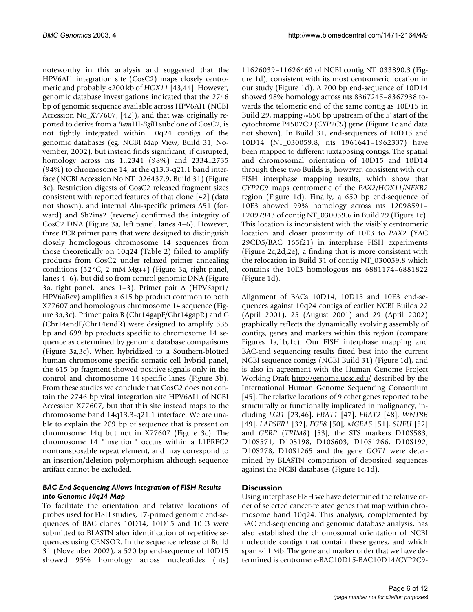noteworthy in this analysis and suggested that the HPV6AI1 integration site (CosC2) maps closely centromeric and probably <200 kb of *HOX11* [43,44]. However, genomic database investigations indicated that the 2746 bp of genomic sequence available across HPV6AI1 (NCBI Accession No\_X77607; [42]), and that was originally reported to derive from a *Bam*HI-*Bgl*II subclone of CosC2, is not tightly integrated within 10q24 contigs of the genomic databases (eg. NCBI Map View, Build 31, November, 2002), but instead finds significant, if disrupted, homology across nts 1..2341 (98%) and 2334..2735 (94%) to chromosome 14, at the q13.3-q21.1 band interface (NCBI Accession No NT\_026437.9, Build 31) (Figure [3c](#page-6-0)). Restriction digests of CosC2 released fragment sizes consistent with reported features of that clone [42] (data not shown), and internal Alu-specific primers A51 (forward) and Sb2ins2 (reverse) confirmed the integrity of CosC2 DNA (Figure [3](#page-6-0)a, left panel, lanes 4–6). However, three PCR primer pairs that were designed to distinguish closely homologous chromosome 14 sequences from those theoretically on 10q24 (Table [2](#page-7-0)) failed to amplify products from CosC2 under relaxed primer annealing conditions (52°C, 2 mM Mg++) (Figure [3](#page-6-0)a, right panel, lanes 4–6), but did so from control genomic DNA (Figure [3a](#page-6-0), right panel, lanes 1–3). Primer pair A (HPV6apr1/ HPV6aRev) amplifies a 615 bp product common to both X77607 and homologous chromosome 14 sequence (Figure [3](#page-6-0)a,3c). Primer pairs B (Chr14gapF/Chr14gapR) and C (Chr14endF/Chr14endR) were designed to amplify 535 bp and 699 bp products specific to chromosome 14 sequence as determined by genomic database comparisons (Figure [3a](#page-6-0),3c). When hybridized to a Southern-blotted human chromosome-specific somatic cell hybrid panel, the 615 bp fragment showed positive signals only in the control and chromosome 14-specific lanes (Figure [3](#page-6-0)b). From these studies we conclude that CosC2 does not contain the 2746 bp viral integration site HPV6AI1 of NCBI Accession X77607, but that this site instead maps to the chromosome band 14q13.3-q21.1 interface. We are unable to explain the 209 bp of sequence that is present on chromosome 14q but not in X77607 (Figure [3](#page-6-0)c). The chromosome 14 "insertion" occurs within a L1PREC2 nontransposable repeat element, and may correspond to an insertion/deletion polymorphism although sequence artifact cannot be excluded.

# *BAC End Sequencing Allows Integration of FISH Results into Genomic 10q24 Map*

To facilitate the orientation and relative locations of probes used for FISH studies, T7-primed genomic end-sequences of BAC clones 10D14, 10D15 and 10E3 were submitted to BLASTN after identification of repetitive sequences using CENSOR. In the sequence release of Build 31 (November 2002), a 520 bp end-sequence of 10D15 showed 95% homology across nucleotides (nts)

11626039–11626469 of NCBI contig NT\_033890.3 (Figure [1](#page-2-0)d), consistent with its most centromeric location in our study (Figure [1d](#page-2-0)). A 700 bp end-sequence of 10D14 showed 98% homology across nts 8367245–8367938 towards the telomeric end of the same contig as 10D15 in Build 29, mapping  $\sim 650$  bp upstream of the 5' start of the cytochrome P4502C9 (*CYP2C9*) gene (Figure [1](#page-2-0)c and data not shown). In Build 31, end-sequences of 10D15 and 10D14 (NT\_030059.8, nts 1961641–1962337) have been mapped to different juxtaposing contigs. The spatial and chromosomal orientation of 10D15 and 10D14 through these two Builds is, however, consistent with our FISH interphase mapping results, which show that *CYP2C9* maps centromeric of the *PAX2/HOX11/NFKB2* region (Figure [1d](#page-2-0)). Finally, a 650 bp end-sequence of 10E3 showed 99% homology across nts 12098591– 12097943 of contig NT\_030059.6 in Build 29 (Figure [1](#page-2-0)c). This location is inconsistent with the visibly centromeric location and closer proximity of 10E3 to *PAX2* (YAC 29CD5/BAC 165f21) in interphase FISH experiments (Figure 2c,2d,2e), a finding that is more consistent with the relocation in Build 31 of contig NT\_030059.8 which contains the 10E3 homologous nts 6881174–6881822 (Figure [1d](#page-2-0)).

Alignment of BACs 10D14, 10D15 and 10E3 end-sequences against 10q24 contigs of earlier NCBI Builds 22 (April 2001), 25 (August 2001) and 29 (April 2002) graphically reflects the dynamically evolving assembly of contigs, genes and markers within this region (compare Figures [1a](#page-2-0),1b,1c). Our FISH interphase mapping and BAC-end sequencing results fitted best into the current NCBI sequence contigs (NCBI Build 31) (Figure [1](#page-2-0)d), and is also in agreement with the Human Genome Project Working Draft <http://genome.ucsc.edu/>described by the International Human Genome Sequencing Consortium [45]. The relative locations of 9 other genes reported to be structurally or functionally implicated in malignancy, including *LGI1* [23,46], *FRAT1* [47], *FRAT2* [48], *WNT8B* [49], *LAPSER1* [32], *FGF8* [50], *MGEA5* [51], *SUFU* [52] and *GERP* (*TRIM8*) [53], the STS markers D10S583, D10S571, D10S198, D10S603, D10S1266, D10S192, D10S278, D10S1265 and the gene *GOT1* were determined by BLASTN comparison of deposited sequences against the NCBI databases (Figure [1c](#page-2-0),1d).

# **Discussion**

Using interphase FISH we have determined the relative order of selected cancer-related genes that map within chromosome band 10q24. This analysis, complemented by BAC end-sequencing and genomic database analysis, has also established the chromosomal orientation of NCBI nucleotide contigs that contain these genes, and which span ~11 Mb. The gene and marker order that we have determined is centromere-BAC10D15-BAC10D14/CYP2C9-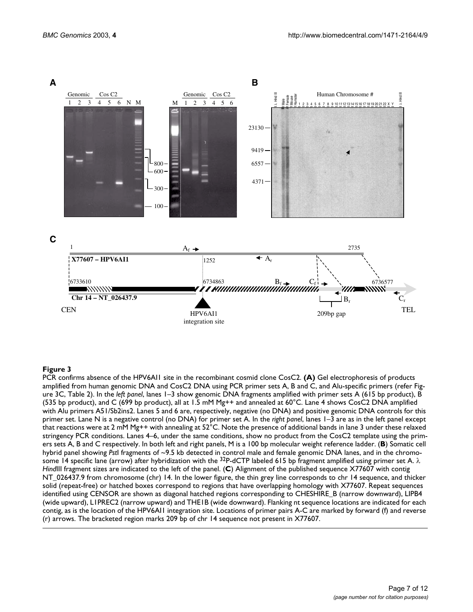<span id="page-6-0"></span>

#### **Figure 3**

PCR confirms absence of the HPV6AI1 site in the recombinant cosmid clone CosC2. **(A)** Gel electrophoresis of products amplified from human genomic DNA and CosC2 DNA using PCR primer sets A, B and C, and Alu-specific primers (refer Figure [3](#page-6-0)C, Table [2](#page-7-0)). In the *left panel*, lanes 1–3 show genomic DNA fragments amplified with primer sets A (615 bp product), B (535 bp product), and C (699 bp product), all at 1.5 mM Mg++ and annealed at 60°C. Lane 4 shows CosC2 DNA amplified with Alu primers A51/Sb2ins2. Lanes 5 and 6 are, respectively, negative (no DNA) and positive genomic DNA controls for this primer set. Lane N is a negative control (no DNA) for primer set A. In the *right panel*, lanes 1–3 are as in the left panel except that reactions were at 2 mM Mg++ with annealing at 52°C. Note the presence of additional bands in lane 3 under these relaxed stringency PCR conditions. Lanes 4–6, under the same conditions, show no product from the CosC2 template using the primers sets A, B and C respectively. In both left and right panels, M is a 100 bp molecular weight reference ladder. (**B**) Somatic cell hybrid panel showing *Pst*I fragments of ~9.5 kb detected in control male and female genomic DNA lanes, and in the chromosome 14 specific lane (arrow) after hybridization with the <sup>32</sup>P-dCTP labeled 615 bp fragment amplified using primer set A.  $\lambda$ *Hind*III fragment sizes are indicated to the left of the panel. (**C**) Alignment of the published sequence X77607 with contig NT\_026437.9 from chromosome (chr) 14. In the lower figure, the thin grey line corresponds to chr 14 sequence, and thicker solid (repeat-free) or hatched boxes correspond to regions that have overlapping homology with X77607. Repeat sequences identified using CENSOR are shown as diagonal hatched regions corresponding to CHESHIRE\_B (narrow downward), LIPB4 (wide upward), L1PREC2 (narrow upward) and THE1B (wide downward). Flanking nt sequence locations are indicated for each contig, as is the location of the HPV6AI1 integration site. Locations of primer pairs A-C are marked by forward (f) and reverse (r) arrows. The bracketed region marks 209 bp of chr 14 sequence not present in X77607.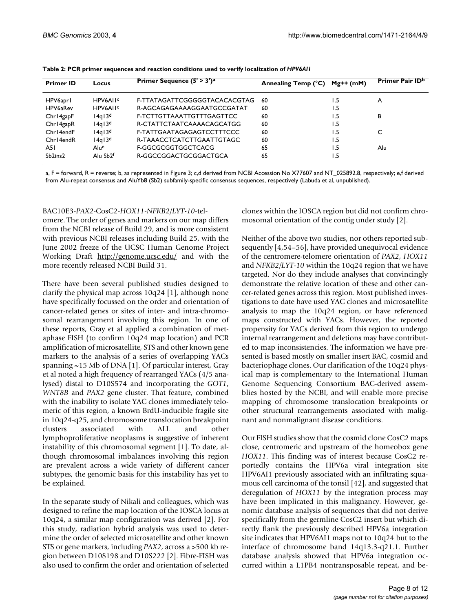| <b>Primer ID</b> | Locus                | Primer Sequence $(5' > 3')^a$ | Annealing Temp (°C) | $Mg++$ (mM) | Primer Pair ID <sup>b</sup> |
|------------------|----------------------|-------------------------------|---------------------|-------------|-----------------------------|
| HPV6apr1         | HPV6AII <sup>c</sup> | F-TTATAGATTCGGGGGTACACACGTAG  | 60                  | l .5        | A                           |
| HPV6aRev         | HPV6AII <sup>c</sup> | R-AGCAGAGAAAAGGAATGCCGATAT    | 60                  | ۱.5         |                             |
| Chr14gapF        | $14q$ $13d$          | F-TCTTGTTAAATTGTTTGAGTTCC     | 60                  | l .5        | В                           |
| Chr14gapR        | 14q13d               | R-CTATTCTAATCAAAACAGCATGG     | 60                  | 1.5         |                             |
| Chr14endF        | $14q$ $13d$          | F-TATTGAATAGAGAGTCCTTTCCC     | 60                  | l .5        |                             |
| Chr14endR        | $14q$ $13d$          | R-TAAACCTCATCTTGAATTGTAGC     | 60                  | 1.5         |                             |
| A5 I             | Alue                 | F-GGCGCGGTGGCTCACG            | 65                  | l.5         | Alu                         |
| Sb2ins2          | Alu Sb <sub>2f</sub> | R-GGCCGGACTGCGGACTGCA         | 65                  | ۱.5         |                             |

<span id="page-7-0"></span>

| Table 2: PCR primer sequences and reaction conditions used to verify localization of HPV6AII |  |  |
|----------------------------------------------------------------------------------------------|--|--|
|----------------------------------------------------------------------------------------------|--|--|

a, F = forward, R = reverse; b, as represented in Figure [3](#page-6-0); c,d derived from NCBI Accession No X77607 and NT\_025892.8, respectively; e,f derived from Alu-repeat consensus and AluYb8 (Sb2) subfamily-specific consensus sequences, respectively (Labuda et al, unpublished).

#### BAC10E3-*PAX2*-CosC2-*HOX11*-*NFKB2/LYT-10*-tel-

omere. The order of genes and markers on our map differs from the NCBI release of Build 29, and is more consistent with previous NCBI releases including Build 25, with the June 2002 freeze of the UCSC Human Genome Project Working Draft <http://genome.ucsc.edu/>and with the more recently released NCBI Build 31.

There have been several published studies designed to clarify the physical map across 10q24 [1], although none have specifically focussed on the order and orientation of cancer-related genes or sites of inter- and intra-chromosomal rearrangement involving this region. In one of these reports, Gray et al applied a combination of metaphase FISH (to confirm 10q24 map location) and PCR amplification of microsatellite, STS and other known gene markers to the analysis of a series of overlapping YACs spanning  $\sim$ 15 Mb of DNA [1]. Of particular interest, Gray et al noted a high frequency of rearranged YACs (4/5 analysed) distal to D10S574 and incorporating the *GOT1*, *WNT8B* and *PAX2* gene cluster. That feature, combined with the inability to isolate YAC clones immediately telomeric of this region, a known BrdU-inducible fragile site in 10q24-q25, and chromosome translocation breakpoint clusters associated with ALL and other lymphoproliferative neoplasms is suggestive of inherent instability of this chromosomal segment [1]. To date, although chromosomal imbalances involving this region are prevalent across a wide variety of different cancer subtypes, the genomic basis for this instability has yet to be explained.

In the separate study of Nikali and colleagues, which was designed to refine the map location of the IOSCA locus at 10q24, a similar map configuration was derived [2]. For this study, radiation hybrid analysis was used to determine the order of selected microsatellite and other known STS or gene markers, including *PAX2*, across a >500 kb region between D10S198 and D10S222 [2]. Fibre-FISH was also used to confirm the order and orientation of selected

clones within the IOSCA region but did not confirm chromosomal orientation of the contig under study [2].

Neither of the above two studies, nor others reported subsequently [4,54–56], have provided unequivocal evidence of the centromere-telomere orientation of *PAX2*, *HOX11* and *NFKB2/LYT-10* within the 10q24 region that we have targeted. Nor do they include analyses that convincingly demonstrate the relative location of these and other cancer-related genes across this region. Most published investigations to date have used YAC clones and microsatellite analysis to map the 10q24 region, or have referenced maps constructed with YACs. However, the reported propensity for YACs derived from this region to undergo internal rearrangement and deletions may have contributed to map inconsistencies. The information we have presented is based mostly on smaller insert BAC, cosmid and bacteriophage clones. Our clarification of the 10q24 physical map is complementary to the International Human Genome Sequencing Consortium BAC-derived assemblies hosted by the NCBI, and will enable more precise mapping of chromosome translocation breakpoints or other structural rearrangements associated with malignant and nonmalignant disease conditions.

Our FISH studies show that the cosmid clone CosC2 maps close, centromeric and upstream of the homeobox gene *HOX11*. This finding was of interest because CosC2 reportedly contains the HPV6a viral integration site HPV6AI1 previously associated with an infiltrating squamous cell carcinoma of the tonsil [42], and suggested that deregulation of *HOX11* by the integration process may have been implicated in this malignancy. However, genomic database analysis of sequences that did not derive specifically from the germline CosC2 insert but which directly flank the previously described HPV6a integration site indicates that HPV6AI1 maps not to 10q24 but to the interface of chromosome band 14q13.3-q21.1. Further database analysis showed that HPV6a integration occurred within a L1PB4 nontransposable repeat, and be-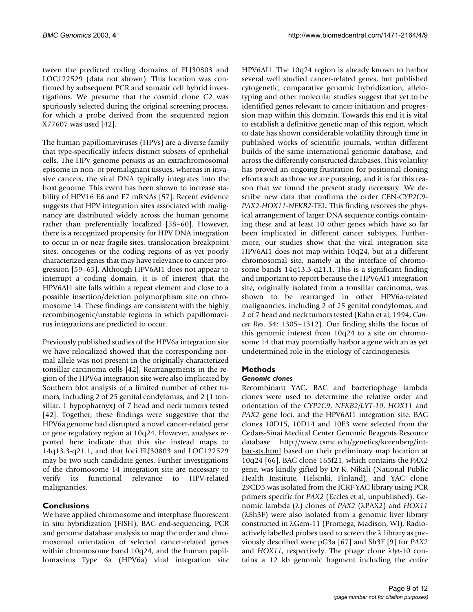tween the predicted coding domains of FLJ30803 and LOC122529 (data not shown). This location was confirmed by subsequent PCR and somatic cell hybrid investigations. We presume that the cosmid clone C2 was spuriously selected during the original screening process, for which a probe derived from the sequenced region X77607 was used [42].

The human papillomaviruses (HPVs) are a diverse family that type-specifically infects distinct subsets of epithelial cells. The HPV genome persists as an extrachromosomal episome in non- or premalignant tissues, whereas in invasive cancers, the viral DNA typically integrates into the host genome. This event has been shown to increase stability of HPV16 E6 and E7 mRNAs [57]. Recent evidence suggests that HPV integration sites associated with malignancy are distributed widely across the human genome rather than preferentially localized [58–60]. However, there is a recognized propensity for HPV DNA integration to occur in or near fragile sites, translocation breakpoint sites, oncogenes or the coding regions of as yet poorly characterized genes that may have relevance to cancer progression [59–65]. Although HPV6AI1 does not appear to interrupt a coding domain, it is of interest that the HPV6AI1 site falls within a repeat element and close to a possible insertion/deletion polymorphism site on chromosome 14. These findings are consistent with the highly recombinogenic/unstable regions in which papillomavirus integrations are predicted to occur.

Previously published studies of the HPV6a integration site we have relocalized showed that the corresponding normal allele was not present in the originally characterized tonsillar carcinoma cells [42]. Rearrangements in the region of the HPV6a integration site were also implicated by Southern blot analysis of a limited number of other tumors, including 2 of 25 genital condylomas, and 2 (1 tonsillar, 1 hypopharnyx) of 7 head and neck tumors tested [42]. Together, these findings were suggestive that the HPV6a genome had disrupted a novel cancer-related gene or gene regulatory region at 10q24. However, analyses reported here indicate that this site instead maps to 14q13.3-q21.1, and that loci FLJ30803 and LOC122529 may be two such candidate genes. Further investigations of the chromosome 14 integration site are necessary to verify its functional relevance to HPV-related malignancies.

# **Conclusions**

We have applied chromosome and interphase fluorescent in situ hybridization (FISH), BAC end-sequencing, PCR and genome database analysis to map the order and chromosomal orientation of selected cancer-related genes within chromosome band 10q24, and the human papillomavirus Type 6a (HPV6a) viral integration site HPV6AI1. The 10q24 region is already known to harbor several well studied cancer-related genes, but published cytogenetic, comparative genomic hybridization, allelotyping and other molecular studies suggest that yet to be identified genes relevant to cancer initiation and progression map within this domain. Towards this end it is vital to establish a definitive genetic map of this region, which to date has shown considerable volatility through time in published works of scientific journals, within different builds of the same international genomic database, and across the differently constructed databases. This volatility has proved an ongoing frustration for positional cloning efforts such as those we are pursuing, and it is for this reason that we found the present study necessary. We describe new data that confirms the order CEN-*CYP2C9- PAX2-HOX11-NFKB2*-TEL. This finding resolves the physical arrangement of larger DNA sequence contigs containing these and at least 10 other genes which have so far been implicated in different cancer subtypes. Furthermore, our studies show that the viral integration site HPV6AI1 does not map within 10q24, but at a different chromosomal site, namely at the interface of chromosome bands 14q13.3-q21.1. This is a significant finding and important to report because the HPV6AI1 integration site, originally isolated from a tonsillar carcinoma, was shown to be rearranged in other HPV6a-related malignancies, including 2 of 25 genital condylomas, and 2 of 7 head and neck tumors tested (Kahn et al, 1994, *Cancer Res*. **54**: 1305–1312). Our finding shifts the focus of this genomic interest from 10q24 to a site on chromosome 14 that may potentially harbor a gene with an as yet undetermined role in the etiology of carcinogenesis.

# **Methods**

### *Genomic clones*

Recombinant YAC, BAC and bacteriophage lambda clones were used to determine the relative order and orientation of the *CYP2C9*, *NFKB2/LYT-10*, *HOX11* and *PAX2* gene loci, and the HPV6AI1 integration site. BAC clones 10D15, 10D14 and 10E3 were selected from the Cedars-Sinai Medical Center Genomic Reagents Resource database [http://www.csmc.edu/genetics/korenberg/int](http://www.csmc.edu/genetics/korenberg/int-bac-sts.html)[bac-sts.html](http://www.csmc.edu/genetics/korenberg/int-bac-sts.html) based on their preliminary map location at 10q24 [66]. BAC clone 165f21, which contains the *PAX2* gene, was kindly gifted by Dr K. Nikali (National Public Health Institute, Helsinki, Finland), and YAC clone 29CD5 was isolated from the ICRF YAC library using PCR primers specific for *PAX2* (Eccles et al, unpublished). Genomic lambda (λ) clones of *PAX2* (λPAX2) and *HOX11* (λSh3F) were also isolated from a genomic liver library constructed in λGem-11 (Promega, Madison, WI). Radioactively labelled probes used to screen the λ library as previously described were pG3a [67] and Sh3F [9] for *PAX2* and *HOX11*, respectively. The phage clone λ*lyt*-10 contains a 12 kb genomic fragment including the entire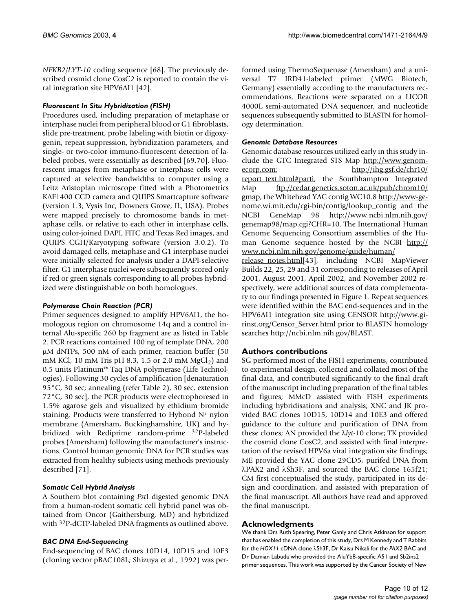*NFKB2/LYT-10* coding sequence [68]. The previously described cosmid clone CosC2 is reported to contain the viral integration site HPV6AI1 [42].

# *Fluorescent In Situ Hybridization (FISH)*

Procedures used, including preparation of metaphase or interphase nuclei from peripheral blood or G1 fibroblasts, slide pre-treatment, probe labeling with biotin or digoxygenin, repeat suppression, hybridization parameters, and single- or two-color immuno-fluorescent detection of labeled probes, were essentially as described [69,70]. Fluorescent images from metaphase or interphase cells were captured at selective bandwidths to computer using a Leitz Aristoplan microscope fitted with a Photometrics KAF1400 CCD camera and QUIPS Smartcapture software (version 1.3; Vysis Inc, Downers Grove, IL, USA). Probes were mapped precisely to chromosome bands in metaphase cells, or relative to each other in interphase cells, using color-joined DAPI, FITC and Texas Red images, and QUIPS CGH/Karyotyping software (version 3.0.2). To avoid damaged cells, metaphase and G1 interphase nuclei were initially selected for analysis under a DAPI-selective filter. G1 interphase nuclei were subsequently scored only if red or green signals corresponding to all probes hybridized were distinguishable on both homologues.

# *Polymerase Chain Reaction (PCR)*

Primer sequences designed to amplify HPV6AI1, the homologous region on chromosome 14q and a control internal Alu-specific 260 bp fragment are as listed in Table [2.](#page-7-0) PCR reactions contained 100 ng of template DNA, 200 µM dNTPs, 500 nM of each primer, reaction buffer (50 mM KCl, 10 mM Tris pH 8.3, 1.5 or 2.0 mM  $MgCl<sub>2</sub>$ ) and 0.5 units Platinum™ Taq DNA polymerase (Life Technologies). Following 30 cycles of amplification [denaturation 95°C, 30 sec; annealing (refer Table [2](#page-7-0)), 30 sec, extension 72°C, 30 sec], the PCR products were electrophoresed in 1.5% agarose gels and visualized by ethidium bromide staining. Products were transferred to Hybond N+ nylon membrane (Amersham, Buckinghamshire, UK) and hybridized with Rediprime random-prime 32P-labeled probes (Amersham) following the manufacturer's instructions. Control human genomic DNA for PCR studies was extracted from healthy subjects using methods previously described [71].

# *Somatic Cell Hybrid Analysis*

A Southern blot containing *Pst*I digested genomic DNA from a human-rodent somatic cell hybrid panel was obtained from Oncor (Gaithersburg, MD) and hybridized with 32P-dCTP-labeled DNA fragments as outlined above.

### *BAC DNA End-Sequencing*

End-sequencing of BAC clones 10D14, 10D15 and 10E3 (cloning vector pBAC108L; Shizuya et al., 1992) was performed using ThermoSequenase (Amersham) and a universal T7 IRD41-labeled primer (MWG Biotech, Germany) essentially according to the manufacturers recommendations. Reactions were separated on a LICOR 4000L semi-automated DNA sequencer, and nucleotide sequences subsequently submitted to BLASTN for homology determination.

# *Genomic Database Resources*

Genomic database resources utilized early in this study include the GTC Integrated STS Map [http://www.genom](http://www.genomecorp.com)[ecorp.com](http://www.genomecorp.com); [http://ihg.gsf.de/chr10/](http://ihg.gsf.de/chr10/report_text.html#parti) [report\\_text.html#parti,](http://ihg.gsf.de/chr10/report_text.html#parti) the Southhampton Integrated Map [ftp://cedar.genetics.soton.ac.uk/pub/chrom10/](ftp://cedar.genetics.soton.ac.uk/pub/chrom10/gmap) [gmap,](ftp://cedar.genetics.soton.ac.uk/pub/chrom10/gmap) the Whitehead YAC contig WC10.8 [http://www-ge](http://www-genome.wi.mit.edu/cgi-bin/contig/lookup_contig)[nome.wi.mit.edu/cgi-bin/contig/lookup\\_contig](http://www-genome.wi.mit.edu/cgi-bin/contig/lookup_contig) and the NCBI GeneMap 98 [http://www.ncbi.nlm.nih.gov/](http://www.ncbi.nlm.nih.gov/genemap98/map.cgi?CHR=10) [genemap98/map.cgi?CHR=10.](http://www.ncbi.nlm.nih.gov/genemap98/map.cgi?CHR=10) The International Human Genome Sequencing Consortium assemblies of the Human Genome sequence hosted by the NCBI [http://](http://www.ncbi.nlm.nih.gov/genome/guide/human/release_notes.html) [www.ncbi.nlm.nih.gov/genome/guide/human/](http://www.ncbi.nlm.nih.gov/genome/guide/human/release_notes.html) [release\\_notes.html\[](http://www.ncbi.nlm.nih.gov/genome/guide/human/release_notes.html)43], including NCBI MapViewer Builds 22, 25, 29 and 31 corresponding to releases of April 2001, August 2001, April 2002, and November 2002 respectively, were additional sources of data complementary to our findings presented in Figure [1](#page-2-0). Repeat sequences were identified within the BAC end-sequences and in the HPV6AI1 integration site using CENSOR [http://www.gi](http://www.girinst.org/Censor_Server.html)[rinst.org/Censor\\_Server.html](http://www.girinst.org/Censor_Server.html) prior to BLASTN homology searches [http://ncbi.nlm.nih.gov/BLAST.](http://ncbi.nlm.nih.gov/BLAST)

# **Authors contributions**

SG performed most of the FISH experiments, contributed to experimental design, collected and collated most of the final data, and contributed significantly to the final draft of the manuscript including preparation of the final tables and figures; MMcD assisted with FISH experiments including hybridisations and analysis; XNC and JK provided BAC clones 10D15, 10D14 and 10E3 and offered guidance to the culture and purification of DNA from these clones; AN provided the λ*lyt*-10 clone; TK provided the cosmid clone CosC2, and assisted with final interpretation of the revised HPV6a viral integration site findings; ME provided the YAC clone 29CD5, purifed DNA from λPAX2 and λSh3F, and sourced the BAC clone 165f21; CM first conceptualised the study, participated in its design and coordination, and assisted with preparation of the final manuscript. All authors have read and approved the final manuscript.

### **Acknowledgments**

We thank Drs Ruth Spearing, Peter Ganly and Chris Atkinson for support that has enabled the completion of this study, Drs M Kennedy and T Rabbits for the *HOX11* cDNA clone λSh3F, Dr Kaisu Nikali for the *PAX2* BAC and Dr Damian Labuda who provided the AluYb8-specific A51 and Sb2ins2 primer sequences. This work was supported by the Cancer Society of New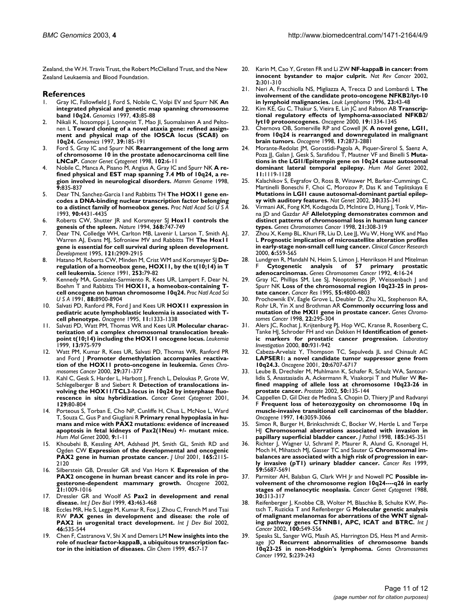Zealand, the W.H. Travis Trust, the Robert McClelland Trust, and the New Zealand Leukaemia and Blood Foundation.

#### **References**

- 1. Gray IC, Fallowfield J, Ford S, Nobile C, Volpi EV and Spurr NK **[An](http://www.ncbi.nlm.nih.gov/entrez/query.fcgi?cmd=Retrieve&db=PubMed&dopt=Abstract&list_uids=9226376) [integrated physical and genetic map spanning chromosome](http://www.ncbi.nlm.nih.gov/entrez/query.fcgi?cmd=Retrieve&db=PubMed&dopt=Abstract&list_uids=9226376) [band 10q24.](http://www.ncbi.nlm.nih.gov/entrez/query.fcgi?cmd=Retrieve&db=PubMed&dopt=Abstract&list_uids=9226376)** *Genomics* 1997, **43:**85-88
- 2. Nikali K, Isosomppi J, Lonnqvist T, Mao JI, Suomalainen A and Peltonen L **[Toward cloning of a novel ataxia gene: refined assign](http://www.ncbi.nlm.nih.gov/entrez/query.fcgi?cmd=Retrieve&db=PubMed&dopt=Abstract&list_uids=9027505)[ment and physical map of the IOSCA locus \(SCA8\) on](http://www.ncbi.nlm.nih.gov/entrez/query.fcgi?cmd=Retrieve&db=PubMed&dopt=Abstract&list_uids=9027505) [10q24.](http://www.ncbi.nlm.nih.gov/entrez/query.fcgi?cmd=Retrieve&db=PubMed&dopt=Abstract&list_uids=9027505)** *Genomics* 1997, **39:**185-191
- 3. Ford S, Gray IC and Spurr NK **[Rearrangement of the long arm](http://www.ncbi.nlm.nih.gov/entrez/query.fcgi?cmd=Retrieve&db=PubMed&dopt=Abstract&list_uids=9530332) [of chromosome 10 in the prostate adenocarcinoma cell line](http://www.ncbi.nlm.nih.gov/entrez/query.fcgi?cmd=Retrieve&db=PubMed&dopt=Abstract&list_uids=9530332) [LNCaP.](http://www.ncbi.nlm.nih.gov/entrez/query.fcgi?cmd=Retrieve&db=PubMed&dopt=Abstract&list_uids=9530332)** *Cancer Genet Cytogenet* 1998, **102:**6-11
- 4. Nobile C, Manca A, Pisano M, Angius A, Gray IC and Spurr NK **[A re](http://www.ncbi.nlm.nih.gov/entrez/query.fcgi?cmd=Retrieve&db=PubMed&dopt=Abstract&list_uids=9745040)[fined physical and EST map spanning 7.4 Mb of 10q24, a re](http://www.ncbi.nlm.nih.gov/entrez/query.fcgi?cmd=Retrieve&db=PubMed&dopt=Abstract&list_uids=9745040)[gion involved in neurological disorders.](http://www.ncbi.nlm.nih.gov/entrez/query.fcgi?cmd=Retrieve&db=PubMed&dopt=Abstract&list_uids=9745040)** *Mamm Genome* 1998, **9:**835-837
- 5. Dear TN, Sanchez-Garcia I and Rabbitts TH **[The HOX11 gene en](http://www.ncbi.nlm.nih.gov/entrez/query.fcgi?cmd=Retrieve&db=PubMed&dopt=Abstract&list_uids=46525)[codes a DNA-binding nuclear transcription factor belonging](http://www.ncbi.nlm.nih.gov/entrez/query.fcgi?cmd=Retrieve&db=PubMed&dopt=Abstract&list_uids=46525) [to a distinct family of homeobox genes.](http://www.ncbi.nlm.nih.gov/entrez/query.fcgi?cmd=Retrieve&db=PubMed&dopt=Abstract&list_uids=46525)** *Proc Natl Acad Sci U S A* 1993, **90:**4431-4435
- 6. Roberts CW, Shutter JR and Korsmeyer SJ **[Hox11 controls the](http://www.ncbi.nlm.nih.gov/entrez/query.fcgi?cmd=Retrieve&db=PubMed&dopt=Abstract&list_uids=7908720) [genesis of the spleen.](http://www.ncbi.nlm.nih.gov/entrez/query.fcgi?cmd=Retrieve&db=PubMed&dopt=Abstract&list_uids=7908720)** *Nature* 1994, **368:**747-749
- 7. Dear TN, Colledge WH, Carlton MB, Lavenir I, Larson T, Smith AJ, Warren AJ, Evans MJ, Sofroniew MV and Rabbitts TH **[The Hox11](http://www.ncbi.nlm.nih.gov/entrez/query.fcgi?cmd=Retrieve&db=PubMed&dopt=Abstract&list_uids=7555717) [gene is essential for cell survival during spleen development.](http://www.ncbi.nlm.nih.gov/entrez/query.fcgi?cmd=Retrieve&db=PubMed&dopt=Abstract&list_uids=7555717)** *Development* 1995, **121:**2909-2915
- 8. Hatano M, Roberts CW, Minden M, Crist WM and Korsmeyer SJ **[De](http://www.ncbi.nlm.nih.gov/entrez/query.fcgi?cmd=Retrieve&db=PubMed&dopt=Abstract&list_uids=1676542)[regulation of a homeobox gene, HOX11, by the t\(10;14\) in T](http://www.ncbi.nlm.nih.gov/entrez/query.fcgi?cmd=Retrieve&db=PubMed&dopt=Abstract&list_uids=1676542) [cell leukemia.](http://www.ncbi.nlm.nih.gov/entrez/query.fcgi?cmd=Retrieve&db=PubMed&dopt=Abstract&list_uids=1676542)** *Science* 1991, **253:**79-82
- 9. Kennedy MA, Gonzalez-Sarmiento R, Kees UR, Lampert F, Dear N, Boehm T and Rabbitts TH **[HOX11, a homeobox-containing T](http://www.ncbi.nlm.nih.gov/entrez/query.fcgi?cmd=Retrieve&db=PubMed&dopt=Abstract&list_uids=52618)[cell oncogene on human chromosome 10q24.](http://www.ncbi.nlm.nih.gov/entrez/query.fcgi?cmd=Retrieve&db=PubMed&dopt=Abstract&list_uids=52618)** *Proc Natl Acad Sci U S A* 1991, **88:**8900-8904
- 10. Salvati PD, Ranford PR, Ford J and Kees UR **[HOX11 expression in](http://www.ncbi.nlm.nih.gov/entrez/query.fcgi?cmd=Retrieve&db=PubMed&dopt=Abstract&list_uids=7478554) [pediatric acute lymphoblastic leukemia is associated with T](http://www.ncbi.nlm.nih.gov/entrez/query.fcgi?cmd=Retrieve&db=PubMed&dopt=Abstract&list_uids=7478554)[cell phenotype.](http://www.ncbi.nlm.nih.gov/entrez/query.fcgi?cmd=Retrieve&db=PubMed&dopt=Abstract&list_uids=7478554)** *Oncogene* 1995, **11:**1333-1338
- 11. Salvati PD, Watt PM, Thomas WR and Kees UR **[Molecular charac](http://www.ncbi.nlm.nih.gov/entrez/query.fcgi?cmd=Retrieve&db=PubMed&dopt=Abstract&list_uids=10360388)[terization of a complex chromosomal translocation break](http://www.ncbi.nlm.nih.gov/entrez/query.fcgi?cmd=Retrieve&db=PubMed&dopt=Abstract&list_uids=10360388)[point t\(10;14\) including the HOX11 oncogene locus.](http://www.ncbi.nlm.nih.gov/entrez/query.fcgi?cmd=Retrieve&db=PubMed&dopt=Abstract&list_uids=10360388)** *Leukemia* 1999, **13:**975-979
- 12. Watt PM, Kumar R, Kees UR, Salvati PD, Thomas WR, Ranford PR and Ford J **[Promoter demethylation accompanies reactiva](http://www.ncbi.nlm.nih.gov/entrez/query.fcgi?cmd=Retrieve&db=PubMed&dopt=Abstract&list_uids=11066085)[tion of the HOX11 proto-oncogene in leukemia.](http://www.ncbi.nlm.nih.gov/entrez/query.fcgi?cmd=Retrieve&db=PubMed&dopt=Abstract&list_uids=11066085)** *Genes Chromosomes Cancer* 2000, **29:**371-377
- 13. Kahl C, Gesk S, Harder L, Harbott J, French L, Deloukas P, Grote W, Schlegelberger B and Siebert R **[Detection of translocations in](http://www.ncbi.nlm.nih.gov/entrez/query.fcgi?cmd=Retrieve&db=PubMed&dopt=Abstract&list_uids=11520572)[volving the HOX11/TCL3-locus in 10q24 by interphase fluo](http://www.ncbi.nlm.nih.gov/entrez/query.fcgi?cmd=Retrieve&db=PubMed&dopt=Abstract&list_uids=11520572)[rescence in situ hybridization.](http://www.ncbi.nlm.nih.gov/entrez/query.fcgi?cmd=Retrieve&db=PubMed&dopt=Abstract&list_uids=11520572)** *Cancer Genet Cytogenet* 2001, **129:**80-804
- 14. Porteous S, Torban E, Cho NP, Cunliffe H, Chua L, McNoe L, Ward T, Souza C, Gus P and Giugliani R **[Primary renal hypoplasia in hu](http://www.ncbi.nlm.nih.gov/entrez/query.fcgi?cmd=Retrieve&db=PubMed&dopt=Abstract&list_uids=10587573)[mans and mice with PAX2 mutations: evidence of increased](http://www.ncbi.nlm.nih.gov/entrez/query.fcgi?cmd=Retrieve&db=PubMed&dopt=Abstract&list_uids=10587573) apoptosis in fetal kidneys of Pax2(1Neu) +/- mutant mice.** *Hum Mol Genet* 2000, **9:**1-11
- 15. Khoubehi B, Kessling AM, Adshead JM, Smith GL, Smith RD and Ogden CW **[Expression of the developmental and oncogenic](http://www.ncbi.nlm.nih.gov/entrez/query.fcgi?cmd=Retrieve&db=PubMed&dopt=Abstract&list_uids=11371938) [PAX2 gene in human prostate cancer.](http://www.ncbi.nlm.nih.gov/entrez/query.fcgi?cmd=Retrieve&db=PubMed&dopt=Abstract&list_uids=11371938)** *J Urol* 2001, **165:**2115- 2120
- 16. Silberstein GB, Dressler GR and Van Horn K **[Expression of the](http://www.ncbi.nlm.nih.gov/entrez/query.fcgi?cmd=Retrieve&db=PubMed&dopt=Abstract&list_uids=11850818) [PAX2 oncogene in human breast cancer and its role in pro](http://www.ncbi.nlm.nih.gov/entrez/query.fcgi?cmd=Retrieve&db=PubMed&dopt=Abstract&list_uids=11850818)[gesterone-dependent mammary growth.](http://www.ncbi.nlm.nih.gov/entrez/query.fcgi?cmd=Retrieve&db=PubMed&dopt=Abstract&list_uids=11850818)** *Oncogene* 2002, **21:**1009-1016
- 17. Dressler GR and Woolf AS **[Pax2 in development and renal](http://www.ncbi.nlm.nih.gov/entrez/query.fcgi?cmd=Retrieve&db=PubMed&dopt=Abstract&list_uids=10535325) [disease.](http://www.ncbi.nlm.nih.gov/entrez/query.fcgi?cmd=Retrieve&db=PubMed&dopt=Abstract&list_uids=10535325)** *Int J Dev Biol* 1999, **43:**463-468
- Eccles MR, He S, Legge M, Kumar R, Fox J, Zhou C, French M and Tsai RW **[PAX genes in development and disease: the role of](http://www.ncbi.nlm.nih.gov/entrez/query.fcgi?cmd=Retrieve&db=PubMed&dopt=Abstract&list_uids=12141441) [PAX2 in urogenital tract development.](http://www.ncbi.nlm.nih.gov/entrez/query.fcgi?cmd=Retrieve&db=PubMed&dopt=Abstract&list_uids=12141441)** *Int J Dev Biol* 2002, **46:**535-544
- 19. Chen F, Castranova V, Shi X and Demers LM **[New insights into the](http://www.ncbi.nlm.nih.gov/entrez/query.fcgi?cmd=Retrieve&db=PubMed&dopt=Abstract&list_uids=9895331) [role of nuclear factor-kappaB, a ubiquitous transcription fac](http://www.ncbi.nlm.nih.gov/entrez/query.fcgi?cmd=Retrieve&db=PubMed&dopt=Abstract&list_uids=9895331)[tor in the initiation of diseases.](http://www.ncbi.nlm.nih.gov/entrez/query.fcgi?cmd=Retrieve&db=PubMed&dopt=Abstract&list_uids=9895331)** *Clin Chem* 1999, **45:**7-17
- 20. Karin M, Cao Y, Greten FR and Li ZW **[NF-kappaB in cancer: from](http://www.ncbi.nlm.nih.gov/entrez/query.fcgi?cmd=Retrieve&db=PubMed&dopt=Abstract&list_uids=12001991) [innocent bystander to major culprit.](http://www.ncbi.nlm.nih.gov/entrez/query.fcgi?cmd=Retrieve&db=PubMed&dopt=Abstract&list_uids=12001991)** *Nat Rev Cancer* 2002, **2:**301-310
- 21. Neri A, Fracchiolla NS, Migliazza A, Trecca D and Lombardi L **[The](http://www.ncbi.nlm.nih.gov/entrez/query.fcgi?cmd=Retrieve&db=PubMed&dopt=Abstract&list_uids=9021684) [involvement of the candidate proto-oncogene NFKB2/lyt-10](http://www.ncbi.nlm.nih.gov/entrez/query.fcgi?cmd=Retrieve&db=PubMed&dopt=Abstract&list_uids=9021684) [in lymphoid malignancies.](http://www.ncbi.nlm.nih.gov/entrez/query.fcgi?cmd=Retrieve&db=PubMed&dopt=Abstract&list_uids=9021684)** *Leuk Lymphoma* 1996, **23:**43-48
- 22. Kim KE, Gu C, Thakur S, Vieira E, Lin JC and Rabson AB [Transcrip](http://www.ncbi.nlm.nih.gov/entrez/query.fcgi?cmd=Retrieve&db=PubMed&dopt=Abstract&list_uids=10713675)**[tional regulatory effects of lymphoma-associated NFKB2/](http://www.ncbi.nlm.nih.gov/entrez/query.fcgi?cmd=Retrieve&db=PubMed&dopt=Abstract&list_uids=10713675) [lyt10 protooncogenes.](http://www.ncbi.nlm.nih.gov/entrez/query.fcgi?cmd=Retrieve&db=PubMed&dopt=Abstract&list_uids=10713675)** *Oncogene* 2000, **19:**1334-1345
- 23. Chernova OB, Somerville RP and Cowell JK **[A novel gene, LGI1,](http://www.ncbi.nlm.nih.gov/entrez/query.fcgi?cmd=Retrieve&db=PubMed&dopt=Abstract&list_uids=9879993) [from 10q24 is rearranged and downregulated in malignant](http://www.ncbi.nlm.nih.gov/entrez/query.fcgi?cmd=Retrieve&db=PubMed&dopt=Abstract&list_uids=9879993) [brain tumors.](http://www.ncbi.nlm.nih.gov/entrez/query.fcgi?cmd=Retrieve&db=PubMed&dopt=Abstract&list_uids=9879993)** *Oncogene* 1998, **17:**2873-2881
- 24. Morante-Redolat JM, Gorostidi-Pagola A, Piquer-Sirerol S, Saenz A, Poza JJ, Galan J, Gesk S, Sarafidou T, Mautner VF and Binelli S **[Muta](http://www.ncbi.nlm.nih.gov/entrez/query.fcgi?cmd=Retrieve&db=PubMed&dopt=Abstract&list_uids=11978770)[tions in the LGI1/Epitempin gene on 10q24 cause autosomal](http://www.ncbi.nlm.nih.gov/entrez/query.fcgi?cmd=Retrieve&db=PubMed&dopt=Abstract&list_uids=11978770) [dominant lateral temporal epilepsy.](http://www.ncbi.nlm.nih.gov/entrez/query.fcgi?cmd=Retrieve&db=PubMed&dopt=Abstract&list_uids=11978770)** *Hum Mol Genet* 2002, **11:**1119-1128
- 25. Kalachikov S, Evgrafov O, Ross B, Winawer M, Barker-Cummings C, Martinelli Boneschi F, Choi C, Morozov P, Das K and Teplitskaya E **[Mutations in LGI1 cause autosomal-dominant partial epilep](http://www.ncbi.nlm.nih.gov/entrez/query.fcgi?cmd=Retrieve&db=PubMed&dopt=Abstract&list_uids=11810107)[sy with auditory features.](http://www.ncbi.nlm.nih.gov/entrez/query.fcgi?cmd=Retrieve&db=PubMed&dopt=Abstract&list_uids=11810107)** *Nat Genet* 2002, **30:**335-341
- 26. Virmani AK, Fong KM, Kodagoda D, McIntire D, Hung J, Tonk V, Minna JD and Gazdar AF **[Allelotyping demonstrates common and](http://www.ncbi.nlm.nih.gov/entrez/query.fcgi?cmd=Retrieve&db=PubMed&dopt=Abstract&list_uids=9559342) [distinct patterns of chromosomal loss in human lung cancer](http://www.ncbi.nlm.nih.gov/entrez/query.fcgi?cmd=Retrieve&db=PubMed&dopt=Abstract&list_uids=9559342) [types.](http://www.ncbi.nlm.nih.gov/entrez/query.fcgi?cmd=Retrieve&db=PubMed&dopt=Abstract&list_uids=9559342)** *Genes Chromosomes Cancer* 1998, **21:**308-319
- Zhou X, Kemp BL, Khuri FR, Liu D, Lee JJ, Wu W, Hong WK and Mao L **[Prognostic implication of microsatellite alteration profiles](http://www.ncbi.nlm.nih.gov/entrez/query.fcgi?cmd=Retrieve&db=PubMed&dopt=Abstract&list_uids=10690539) [in early-stage non-small cell lung cancer.](http://www.ncbi.nlm.nih.gov/entrez/query.fcgi?cmd=Retrieve&db=PubMed&dopt=Abstract&list_uids=10690539)** *Clinical Cancer Research* 2000, **6:**559-565
- 28. Lundgren R, Mandahl N, Heim S, Limon J, Henrikson H and Mitelman F **[Cytogenetic analysis of 57 primary prostatic](http://www.ncbi.nlm.nih.gov/entrez/query.fcgi?cmd=Retrieve&db=PubMed&dopt=Abstract&list_uids=1377005) [adenocarcinomas.](http://www.ncbi.nlm.nih.gov/entrez/query.fcgi?cmd=Retrieve&db=PubMed&dopt=Abstract&list_uids=1377005)** *Genes Chromosomes Cancer* 1992, **4:**16-24
- 29. Gray IC, Phillips SM, Lee SJ, Neoptolemos JP, Weissenbach J and Spurr NK **[Loss of the chromosomal region 10q23-25 in pros](http://www.ncbi.nlm.nih.gov/entrez/query.fcgi?cmd=Retrieve&db=PubMed&dopt=Abstract&list_uids=7585509)[tate cancer.](http://www.ncbi.nlm.nih.gov/entrez/query.fcgi?cmd=Retrieve&db=PubMed&dopt=Abstract&list_uids=7585509)** *Cancer Res* 1995, **55:**4800-4803
- Prochownik EV, Eagle Grove L, Deubler D, Zhu XL, Stephenson RA, Rohr LR, Yin X and Brothman AR **[Commonly occurring loss and](http://www.ncbi.nlm.nih.gov/entrez/query.fcgi?cmd=Retrieve&db=PubMed&dopt=Abstract&list_uids=9669667) [mutation of the MXI1 gene in prostate cancer.](http://www.ncbi.nlm.nih.gov/entrez/query.fcgi?cmd=Retrieve&db=PubMed&dopt=Abstract&list_uids=9669667)** *Genes Chromosomes Cancer* 1998, **22:**295-304
- 31. Alers JC, Rochat J, Krijtenburg PJ, Hop WC, Kranse R, Rosenberg C, Tanke HJ, Schroder FH and van Dekken H **[Identification of genet](http://www.ncbi.nlm.nih.gov/entrez/query.fcgi?cmd=Retrieve&db=PubMed&dopt=Abstract&list_uids=10879743)[ic markers for prostatic cancer progression.](http://www.ncbi.nlm.nih.gov/entrez/query.fcgi?cmd=Retrieve&db=PubMed&dopt=Abstract&list_uids=10879743)** *Laboratory Investigation* 2000, **80:**931-942
- 32. Cabeza-Arvelaiz Y, Thompson TC, Sepulveda JL and Chinault AC **[LAPSER1: a novel candidate tumor suppressor gene from](http://www.ncbi.nlm.nih.gov/entrez/query.fcgi?cmd=Retrieve&db=PubMed&dopt=Abstract&list_uids=11709705) [10q24.3.](http://www.ncbi.nlm.nih.gov/entrez/query.fcgi?cmd=Retrieve&db=PubMed&dopt=Abstract&list_uids=11709705)** *Oncogene* 2001, **20:**6707-6717
- 33. Leube B, Drechsler M, Muhlmann K, Schafer R, Schulz WA, Santourlidis S, Anastasiadis A, Ackermann R, Visakorpi T and Muller W **[Re](http://www.ncbi.nlm.nih.gov/entrez/query.fcgi?cmd=Retrieve&db=PubMed&dopt=Abstract&list_uids=11813205)[fined mapping of allele loss at chromosome 10q23-26 in](http://www.ncbi.nlm.nih.gov/entrez/query.fcgi?cmd=Retrieve&db=PubMed&dopt=Abstract&list_uids=11813205) [prostate cancer.](http://www.ncbi.nlm.nih.gov/entrez/query.fcgi?cmd=Retrieve&db=PubMed&dopt=Abstract&list_uids=11813205)** *Prostate* 2002, **50:**135-144
- Cappellen D, Gil Diez de Medina S, Chopin D, Thiery JP and Radvanyi F **[Frequent loss of heterozygosity on chromosome 10q in](http://www.ncbi.nlm.nih.gov/entrez/query.fcgi?cmd=Retrieve&db=PubMed&dopt=Abstract&list_uids=9223669) [muscle-invasive transitional cell carcinomas of the bladder.](http://www.ncbi.nlm.nih.gov/entrez/query.fcgi?cmd=Retrieve&db=PubMed&dopt=Abstract&list_uids=9223669)** *Oncogene* 1997, **14:**3059-3066
- Simon R, Burger H, Brinkschmidt C, Bocker W, Hertle L and Terpe HJ **[Chromosomal aberrations associated with invasion in](http://www.ncbi.nlm.nih.gov/entrez/query.fcgi?cmd=Retrieve&db=PubMed&dopt=Abstract&list_uids=9828832) [papillary superficial bladder cancer.](http://www.ncbi.nlm.nih.gov/entrez/query.fcgi?cmd=Retrieve&db=PubMed&dopt=Abstract&list_uids=9828832)** *J Pathol* 1998, **185:**345-351
- 36. Richter J, Wagner U, Schraml P, Maurer R, Alund G, Knonagel H, Moch H, Mihatsch MJ, Gasser TC and Sauter G **[Chromosomal im](http://www.ncbi.nlm.nih.gov/entrez/query.fcgi?cmd=Retrieve&db=PubMed&dopt=Abstract&list_uids=10582685)[balances are associated with a high risk of progression in ear](http://www.ncbi.nlm.nih.gov/entrez/query.fcgi?cmd=Retrieve&db=PubMed&dopt=Abstract&list_uids=10582685)[ly invasive \(pT1\) urinary bladder cancer.](http://www.ncbi.nlm.nih.gov/entrez/query.fcgi?cmd=Retrieve&db=PubMed&dopt=Abstract&list_uids=10582685)** *Cancer Res* 1999, **59:**5687-5691
- 37. Parmiter AH, Balaban G, Clark WH Jr and Nowell PC **[Possible in](http://www.ncbi.nlm.nih.gov/entrez/query.fcgi?cmd=Retrieve&db=PubMed&dopt=Abstract&list_uids=3422583)[volvement of the chromosome region 10q24----q26 in early](http://www.ncbi.nlm.nih.gov/entrez/query.fcgi?cmd=Retrieve&db=PubMed&dopt=Abstract&list_uids=3422583) [stages of melanocytic neoplasia.](http://www.ncbi.nlm.nih.gov/entrez/query.fcgi?cmd=Retrieve&db=PubMed&dopt=Abstract&list_uids=3422583)** *Cancer Genet Cytogenet* 1988, **30:**313-317
- 38. Reifenberger J, Knobbe CB, Wolter M, Blaschke B, Schulte KW, Pietsch T, Ruzicka T and Reifenberger G **[Molecular genetic analysis](http://www.ncbi.nlm.nih.gov/entrez/query.fcgi?cmd=Retrieve&db=PubMed&dopt=Abstract&list_uids=12124804) [of malignant melanomas for aberrations of the WNT signal](http://www.ncbi.nlm.nih.gov/entrez/query.fcgi?cmd=Retrieve&db=PubMed&dopt=Abstract&list_uids=12124804)[ing pathway genes CTNNB1, APC, ICAT and BTRC.](http://www.ncbi.nlm.nih.gov/entrez/query.fcgi?cmd=Retrieve&db=PubMed&dopt=Abstract&list_uids=12124804)** *Int J Cancer* 2002, **100:**549-556
- 39. Speaks SL, Sanger WG, Masih AS, Harrington DS, Hess M and Armitage JO **[Recurrent abnormalities of chromosome bands](http://www.ncbi.nlm.nih.gov/entrez/query.fcgi?cmd=Retrieve&db=PubMed&dopt=Abstract&list_uids=1384677) [10q23-25 in non-Hodgkin's lymphoma.](http://www.ncbi.nlm.nih.gov/entrez/query.fcgi?cmd=Retrieve&db=PubMed&dopt=Abstract&list_uids=1384677)** *Genes Chromosomes Cancer* 1992, **5:**239-243